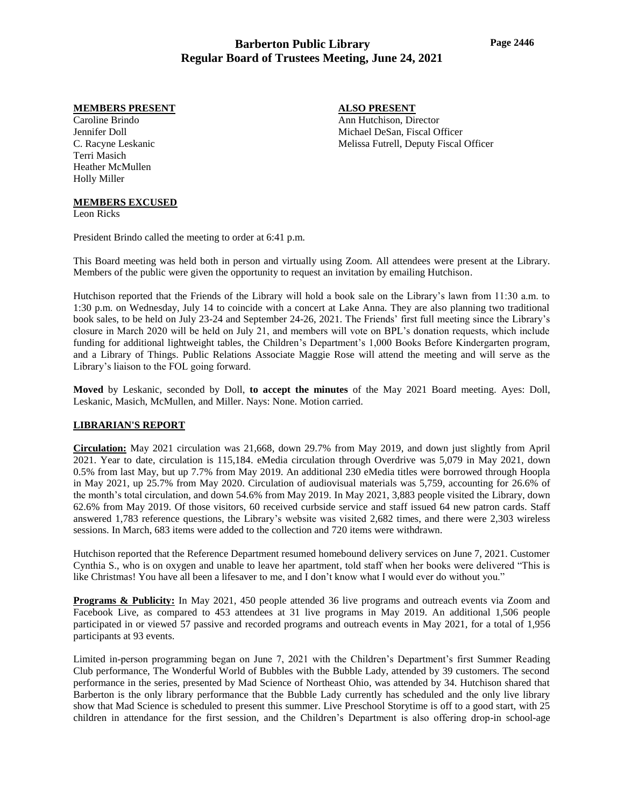#### **MEMBERS PRESENT**

Caroline Brindo Jennifer Doll C. Racyne Leskanic Terri Masich Heather McMullen Holly Miller

# **ALSO PRESENT**

Ann Hutchison, Director Michael DeSan, Fiscal Officer Melissa Futrell, Deputy Fiscal Officer

### **MEMBERS EXCUSED**

Leon Ricks

President Brindo called the meeting to order at 6:41 p.m.

This Board meeting was held both in person and virtually using Zoom. All attendees were present at the Library. Members of the public were given the opportunity to request an invitation by emailing Hutchison.

Hutchison reported that the Friends of the Library will hold a book sale on the Library's lawn from 11:30 a.m. to 1:30 p.m. on Wednesday, July 14 to coincide with a concert at Lake Anna. They are also planning two traditional book sales, to be held on July 23-24 and September 24-26, 2021. The Friends' first full meeting since the Library's closure in March 2020 will be held on July 21, and members will vote on BPL's donation requests, which include funding for additional lightweight tables, the Children's Department's 1,000 Books Before Kindergarten program, and a Library of Things. Public Relations Associate Maggie Rose will attend the meeting and will serve as the Library's liaison to the FOL going forward.

**Moved** by Leskanic, seconded by Doll, **to accept the minutes** of the May 2021 Board meeting. Ayes: Doll, Leskanic, Masich, McMullen, and Miller. Nays: None. Motion carried.

### **LIBRARIAN'S REPORT**

**Circulation:** May 2021 circulation was 21,668, down 29.7% from May 2019, and down just slightly from April 2021. Year to date, circulation is 115,184. eMedia circulation through Overdrive was 5,079 in May 2021, down 0.5% from last May, but up 7.7% from May 2019. An additional 230 eMedia titles were borrowed through Hoopla in May 2021, up 25.7% from May 2020. Circulation of audiovisual materials was 5,759, accounting for 26.6% of the month's total circulation, and down 54.6% from May 2019. In May 2021, 3,883 people visited the Library, down 62.6% from May 2019. Of those visitors, 60 received curbside service and staff issued 64 new patron cards. Staff answered 1,783 reference questions, the Library's website was visited 2,682 times, and there were 2,303 wireless sessions. In March, 683 items were added to the collection and 720 items were withdrawn.

Hutchison reported that the Reference Department resumed homebound delivery services on June 7, 2021. Customer Cynthia S., who is on oxygen and unable to leave her apartment, told staff when her books were delivered "This is like Christmas! You have all been a lifesaver to me, and I don't know what I would ever do without you."

**Programs & Publicity:** In May 2021, 450 people attended 36 live programs and outreach events via Zoom and Facebook Live, as compared to 453 attendees at 31 live programs in May 2019. An additional 1,506 people participated in or viewed 57 passive and recorded programs and outreach events in May 2021, for a total of 1,956 participants at 93 events.

Limited in-person programming began on June 7, 2021 with the Children's Department's first Summer Reading Club performance, The Wonderful World of Bubbles with the Bubble Lady, attended by 39 customers. The second performance in the series, presented by Mad Science of Northeast Ohio, was attended by 34. Hutchison shared that Barberton is the only library performance that the Bubble Lady currently has scheduled and the only live library show that Mad Science is scheduled to present this summer. Live Preschool Storytime is off to a good start, with 25 children in attendance for the first session, and the Children's Department is also offering drop-in school-age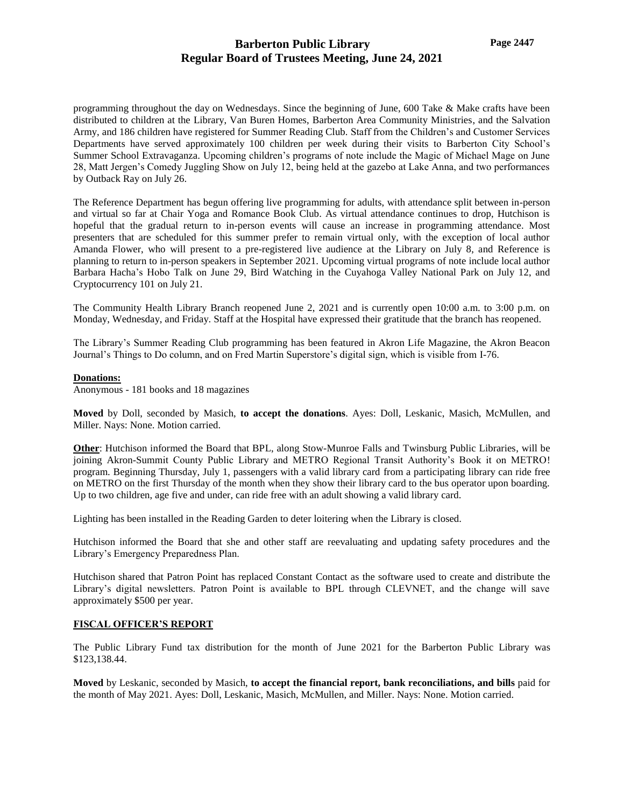programming throughout the day on Wednesdays. Since the beginning of June, 600 Take & Make crafts have been distributed to children at the Library, Van Buren Homes, Barberton Area Community Ministries, and the Salvation Army, and 186 children have registered for Summer Reading Club. Staff from the Children's and Customer Services Departments have served approximately 100 children per week during their visits to Barberton City School's Summer School Extravaganza. Upcoming children's programs of note include the Magic of Michael Mage on June 28, Matt Jergen's Comedy Juggling Show on July 12, being held at the gazebo at Lake Anna, and two performances by Outback Ray on July 26.

The Reference Department has begun offering live programming for adults, with attendance split between in-person and virtual so far at Chair Yoga and Romance Book Club. As virtual attendance continues to drop, Hutchison is hopeful that the gradual return to in-person events will cause an increase in programming attendance. Most presenters that are scheduled for this summer prefer to remain virtual only, with the exception of local author Amanda Flower, who will present to a pre-registered live audience at the Library on July 8, and Reference is planning to return to in-person speakers in September 2021. Upcoming virtual programs of note include local author Barbara Hacha's Hobo Talk on June 29, Bird Watching in the Cuyahoga Valley National Park on July 12, and Cryptocurrency 101 on July 21.

The Community Health Library Branch reopened June 2, 2021 and is currently open 10:00 a.m. to 3:00 p.m. on Monday, Wednesday, and Friday. Staff at the Hospital have expressed their gratitude that the branch has reopened.

The Library's Summer Reading Club programming has been featured in Akron Life Magazine, the Akron Beacon Journal's Things to Do column, and on Fred Martin Superstore's digital sign, which is visible from I-76.

### **Donations:**

Anonymous - 181 books and 18 magazines

**Moved** by Doll, seconded by Masich, **to accept the donations**. Ayes: Doll, Leskanic, Masich, McMullen, and Miller. Nays: None. Motion carried.

**Other**: Hutchison informed the Board that BPL, along Stow-Munroe Falls and Twinsburg Public Libraries, will be joining Akron-Summit County Public Library and METRO Regional Transit Authority's Book it on METRO! program. Beginning Thursday, July 1, passengers with a valid library card from a participating library can ride free on METRO on the first Thursday of the month when they show their library card to the bus operator upon boarding. Up to two children, age five and under, can ride free with an adult showing a valid library card.

Lighting has been installed in the Reading Garden to deter loitering when the Library is closed.

Hutchison informed the Board that she and other staff are reevaluating and updating safety procedures and the Library's Emergency Preparedness Plan.

Hutchison shared that Patron Point has replaced Constant Contact as the software used to create and distribute the Library's digital newsletters. Patron Point is available to BPL through CLEVNET, and the change will save approximately \$500 per year.

### **FISCAL OFFICER'S REPORT**

The Public Library Fund tax distribution for the month of June 2021 for the Barberton Public Library was \$123,138.44.

**Moved** by Leskanic, seconded by Masich, **to accept the financial report, bank reconciliations, and bills** paid for the month of May 2021. Ayes: Doll, Leskanic, Masich, McMullen, and Miller. Nays: None. Motion carried.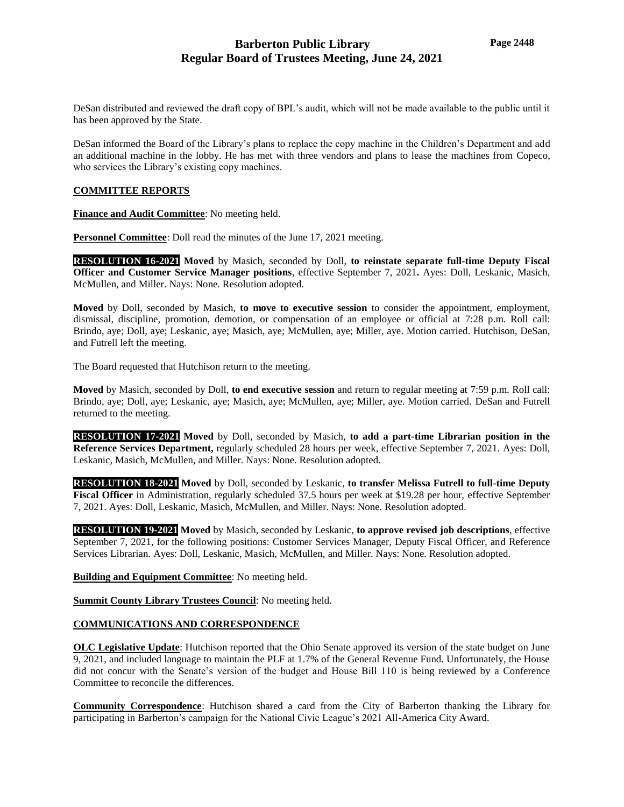DeSan distributed and reviewed the draft copy of BPL's audit, which will not be made available to the public until it has been approved by the State.

DeSan informed the Board of the Library's plans to replace the copy machine in the Children's Department and add an additional machine in the lobby. He has met with three vendors and plans to lease the machines from Copeco, who services the Library's existing copy machines.

### **COMMITTEE REPORTS**

**Finance and Audit Committee**: No meeting held.

**Personnel Committee**: Doll read the minutes of the June 17, 2021 meeting.

**RESOLUTION 16-2021 Moved** by Masich, seconded by Doll, **to reinstate separate full-time Deputy Fiscal Officer and Customer Service Manager positions**, effective September 7, 2021**.** Ayes: Doll, Leskanic, Masich, McMullen, and Miller. Nays: None. Resolution adopted.

**Moved** by Doll, seconded by Masich, **to move to executive session** to consider the appointment, employment, dismissal, discipline, promotion, demotion, or compensation of an employee or official at 7:28 p.m. Roll call: Brindo, aye; Doll, aye; Leskanic, aye; Masich, aye; McMullen, aye; Miller, aye. Motion carried. Hutchison, DeSan, and Futrell left the meeting.

The Board requested that Hutchison return to the meeting.

**Moved** by Masich, seconded by Doll, **to end executive session** and return to regular meeting at 7:59 p.m. Roll call: Brindo, aye; Doll, aye; Leskanic, aye; Masich, aye; McMullen, aye; Miller, aye. Motion carried. DeSan and Futrell returned to the meeting.

**RESOLUTION 17-2021 Moved** by Doll, seconded by Masich, **to add a part-time Librarian position in the Reference Services Department,** regularly scheduled 28 hours per week, effective September 7, 2021. Ayes: Doll, Leskanic, Masich, McMullen, and Miller. Nays: None. Resolution adopted.

**RESOLUTION 18-2021 Moved** by Doll, seconded by Leskanic, **to transfer Melissa Futrell to full-time Deputy Fiscal Officer** in Administration, regularly scheduled 37.5 hours per week at \$19.28 per hour, effective September 7, 2021. Ayes: Doll, Leskanic, Masich, McMullen, and Miller. Nays: None. Resolution adopted.

**RESOLUTION 19-2021 Moved** by Masich, seconded by Leskanic, **to approve revised job descriptions**, effective September 7, 2021, for the following positions: Customer Services Manager, Deputy Fiscal Officer, and Reference Services Librarian. Ayes: Doll, Leskanic, Masich, McMullen, and Miller. Nays: None. Resolution adopted.

**Building and Equipment Committee**: No meeting held.

**Summit County Library Trustees Council**: No meeting held.

### **COMMUNICATIONS AND CORRESPONDENCE**

**OLC Legislative Update**: Hutchison reported that the Ohio Senate approved its version of the state budget on June 9, 2021, and included language to maintain the PLF at 1.7% of the General Revenue Fund. Unfortunately, the House did not concur with the Senate's version of the budget and House Bill 110 is being reviewed by a Conference Committee to reconcile the differences.

**Community Correspondence**: Hutchison shared a card from the City of Barberton thanking the Library for participating in Barberton's campaign for the National Civic League's 2021 All-America City Award.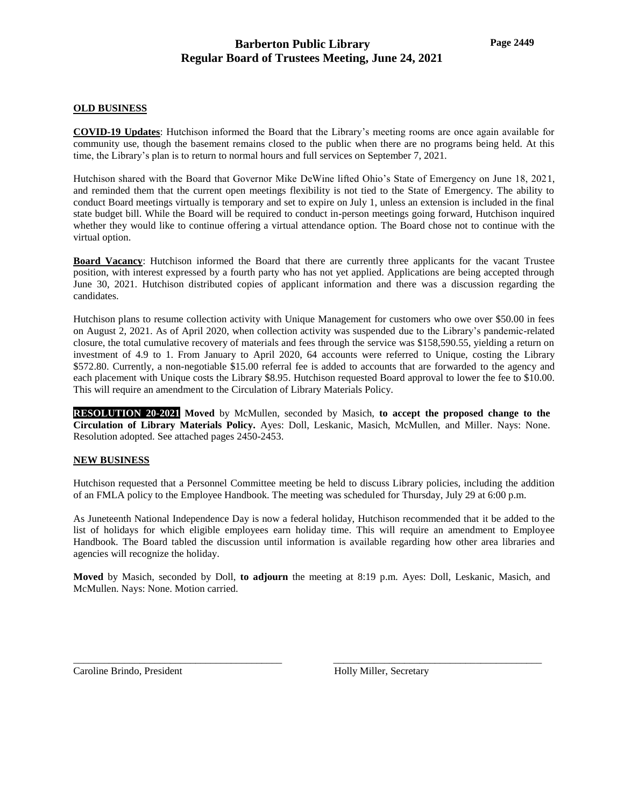### **OLD BUSINESS**

**COVID-19 Updates**: Hutchison informed the Board that the Library's meeting rooms are once again available for community use, though the basement remains closed to the public when there are no programs being held. At this time, the Library's plan is to return to normal hours and full services on September 7, 2021.

Hutchison shared with the Board that Governor Mike DeWine lifted Ohio's State of Emergency on June 18, 2021, and reminded them that the current open meetings flexibility is not tied to the State of Emergency. The ability to conduct Board meetings virtually is temporary and set to expire on July 1, unless an extension is included in the final state budget bill. While the Board will be required to conduct in-person meetings going forward, Hutchison inquired whether they would like to continue offering a virtual attendance option. The Board chose not to continue with the virtual option.

**Board Vacancy**: Hutchison informed the Board that there are currently three applicants for the vacant Trustee position, with interest expressed by a fourth party who has not yet applied. Applications are being accepted through June 30, 2021. Hutchison distributed copies of applicant information and there was a discussion regarding the candidates.

Hutchison plans to resume collection activity with Unique Management for customers who owe over \$50.00 in fees on August 2, 2021. As of April 2020, when collection activity was suspended due to the Library's pandemic-related closure, the total cumulative recovery of materials and fees through the service was \$158,590.55, yielding a return on investment of 4.9 to 1. From January to April 2020, 64 accounts were referred to Unique, costing the Library \$572.80. Currently, a non-negotiable \$15.00 referral fee is added to accounts that are forwarded to the agency and each placement with Unique costs the Library \$8.95. Hutchison requested Board approval to lower the fee to \$10.00. This will require an amendment to the Circulation of Library Materials Policy.

**RESOLUTION 20-2021 Moved** by McMullen, seconded by Masich, **to accept the proposed change to the Circulation of Library Materials Policy.** Ayes: Doll, Leskanic, Masich, McMullen, and Miller. Nays: None. Resolution adopted. See attached pages 2450-2453.

### **NEW BUSINESS**

Hutchison requested that a Personnel Committee meeting be held to discuss Library policies, including the addition of an FMLA policy to the Employee Handbook. The meeting was scheduled for Thursday, July 29 at 6:00 p.m.

As Juneteenth National Independence Day is now a federal holiday, Hutchison recommended that it be added to the list of holidays for which eligible employees earn holiday time. This will require an amendment to Employee Handbook. The Board tabled the discussion until information is available regarding how other area libraries and agencies will recognize the holiday.

**Moved** by Masich, seconded by Doll, **to adjourn** the meeting at 8:19 p.m. Ayes: Doll, Leskanic, Masich, and McMullen. Nays: None. Motion carried.

\_\_\_\_\_\_\_\_\_\_\_\_\_\_\_\_\_\_\_\_\_\_\_\_\_\_\_\_\_\_\_\_\_\_\_\_\_\_\_\_\_ \_\_\_\_\_\_\_\_\_\_\_\_\_\_\_\_\_\_\_\_\_\_\_\_\_\_\_\_\_\_\_\_\_\_\_\_\_\_\_\_\_

Caroline Brindo, President **Holly Miller, Secretary**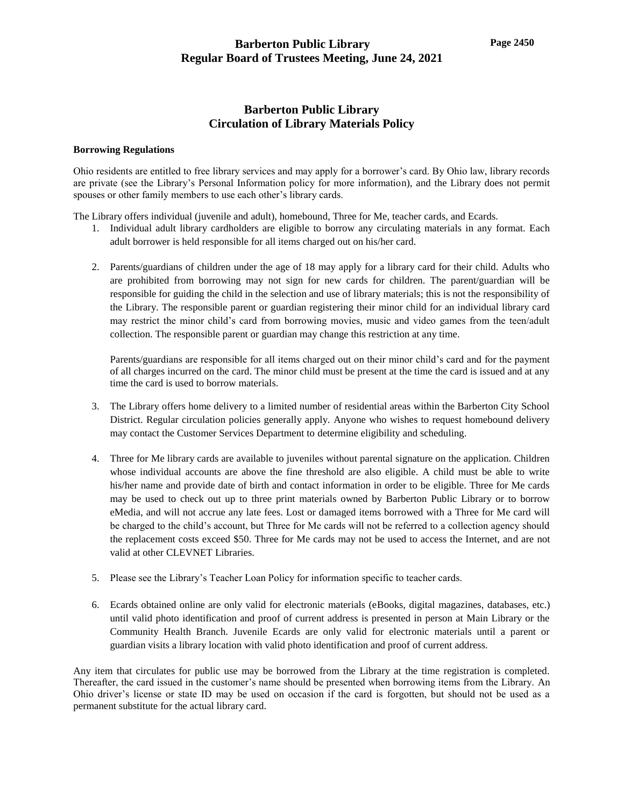## **Barberton Public Library Circulation of Library Materials Policy**

#### **Borrowing Regulations**

Ohio residents are entitled to free library services and may apply for a borrower's card. By Ohio law, library records are private (see the Library's Personal Information policy for more information), and the Library does not permit spouses or other family members to use each other's library cards.

The Library offers individual (juvenile and adult), homebound, Three for Me, teacher cards, and Ecards.

- 1. Individual adult library cardholders are eligible to borrow any circulating materials in any format. Each adult borrower is held responsible for all items charged out on his/her card.
- 2. Parents/guardians of children under the age of 18 may apply for a library card for their child. Adults who are prohibited from borrowing may not sign for new cards for children. The parent/guardian will be responsible for guiding the child in the selection and use of library materials; this is not the responsibility of the Library. The responsible parent or guardian registering their minor child for an individual library card may restrict the minor child's card from borrowing movies, music and video games from the teen/adult collection. The responsible parent or guardian may change this restriction at any time.

Parents/guardians are responsible for all items charged out on their minor child's card and for the payment of all charges incurred on the card. The minor child must be present at the time the card is issued and at any time the card is used to borrow materials.

- 3. The Library offers home delivery to a limited number of residential areas within the Barberton City School District. Regular circulation policies generally apply. Anyone who wishes to request homebound delivery may contact the Customer Services Department to determine eligibility and scheduling.
- 4. Three for Me library cards are available to juveniles without parental signature on the application. Children whose individual accounts are above the fine threshold are also eligible. A child must be able to write his/her name and provide date of birth and contact information in order to be eligible. Three for Me cards may be used to check out up to three print materials owned by Barberton Public Library or to borrow eMedia, and will not accrue any late fees. Lost or damaged items borrowed with a Three for Me card will be charged to the child's account, but Three for Me cards will not be referred to a collection agency should the replacement costs exceed \$50. Three for Me cards may not be used to access the Internet, and are not valid at other CLEVNET Libraries.
- 5. Please see the Library's Teacher Loan Policy for information specific to teacher cards.
- 6. Ecards obtained online are only valid for electronic materials (eBooks, digital magazines, databases, etc.) until valid photo identification and proof of current address is presented in person at Main Library or the Community Health Branch. Juvenile Ecards are only valid for electronic materials until a parent or guardian visits a library location with valid photo identification and proof of current address.

Any item that circulates for public use may be borrowed from the Library at the time registration is completed. Thereafter, the card issued in the customer's name should be presented when borrowing items from the Library. An Ohio driver's license or state ID may be used on occasion if the card is forgotten, but should not be used as a permanent substitute for the actual library card.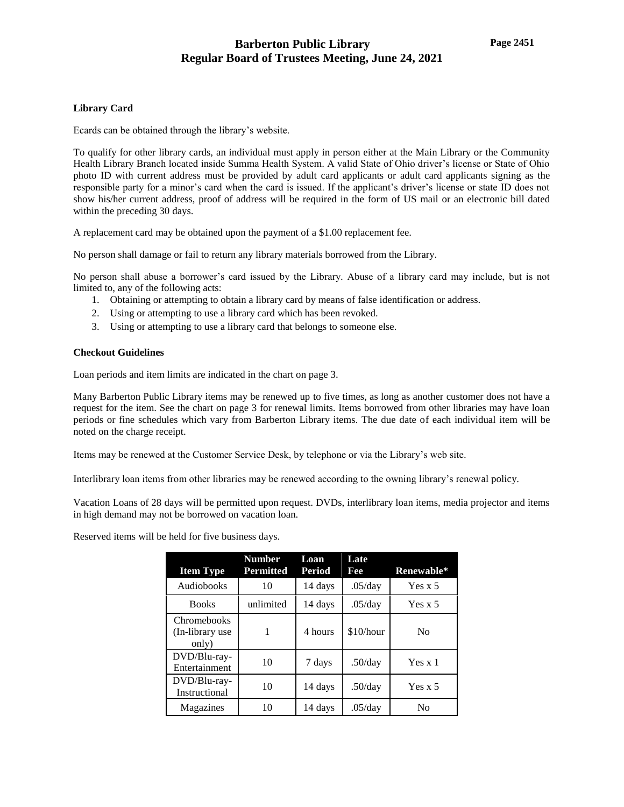### **Library Card**

Ecards can be obtained through the library's website.

To qualify for other library cards, an individual must apply in person either at the Main Library or the Community Health Library Branch located inside Summa Health System. A valid State of Ohio driver's license or State of Ohio photo ID with current address must be provided by adult card applicants or adult card applicants signing as the responsible party for a minor's card when the card is issued. If the applicant's driver's license or state ID does not show his/her current address, proof of address will be required in the form of US mail or an electronic bill dated within the preceding 30 days.

A replacement card may be obtained upon the payment of a \$1.00 replacement fee.

No person shall damage or fail to return any library materials borrowed from the Library.

No person shall abuse a borrower's card issued by the Library. Abuse of a library card may include, but is not limited to, any of the following acts:

- 1. Obtaining or attempting to obtain a library card by means of false identification or address.
- 2. Using or attempting to use a library card which has been revoked.
- 3. Using or attempting to use a library card that belongs to someone else.

### **Checkout Guidelines**

Loan periods and item limits are indicated in the chart on page 3.

Many Barberton Public Library items may be renewed up to five times, as long as another customer does not have a request for the item. See the chart on page 3 for renewal limits. Items borrowed from other libraries may have loan periods or fine schedules which vary from Barberton Library items. The due date of each individual item will be noted on the charge receipt.

Items may be renewed at the Customer Service Desk, by telephone or via the Library's web site.

Interlibrary loan items from other libraries may be renewed according to the owning library's renewal policy.

Vacation Loans of 28 days will be permitted upon request. DVDs, interlibrary loan items, media projector and items in high demand may not be borrowed on vacation loan.

Reserved items will be held for five business days.

| <b>Item Type</b>                                | <b>Number</b><br><b>Permitted</b> | Loan<br><b>Period</b> | Late<br>Fee | Renewable*     |
|-------------------------------------------------|-----------------------------------|-----------------------|-------------|----------------|
| Audiobooks                                      | 10                                | 14 days               | .05/day     | Yes $x$ 5      |
| <b>Books</b>                                    | unlimited                         | 14 days               | .05/day     | Yes $x$ 5      |
| <b>Chromebooks</b><br>(In-library use)<br>only) |                                   | 4 hours               | \$10/hour   | N <sub>0</sub> |
| DVD/Blu-ray-<br>Entertainment                   | 10                                | 7 days                | $.50$ /day  | Yes x 1        |
| DVD/Blu-ray-<br>Instructional                   | 10                                | 14 days               | .50/day     | Yes $x$ 5      |
| Magazines                                       | 10                                | 14 days               | $.05$ /day  | No             |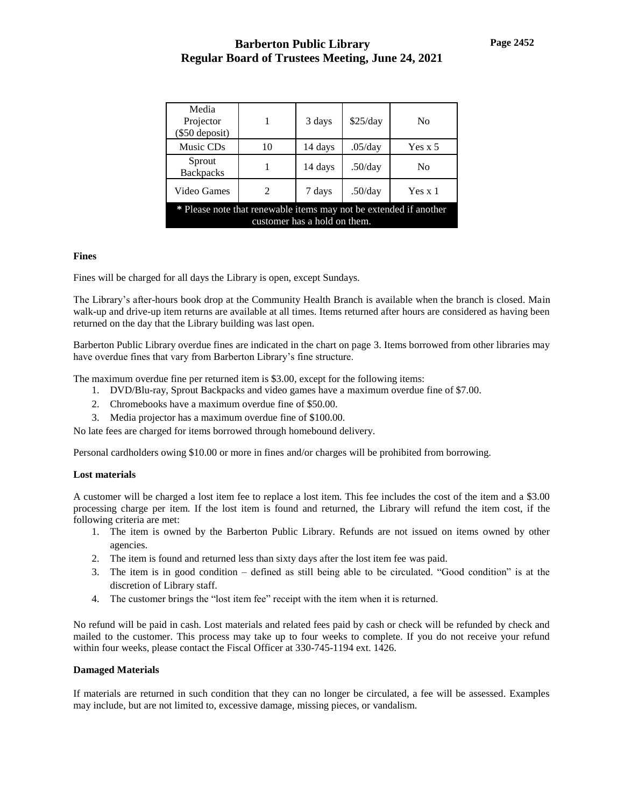| Media<br>Projector<br>$(\$50$ deposit)                                                            |    | 3 days  | \$25/day | N <sub>0</sub> |  |  |
|---------------------------------------------------------------------------------------------------|----|---------|----------|----------------|--|--|
| Music CDs                                                                                         | 10 | 14 days | .05/day  | Yes x 5        |  |  |
| Sprout<br><b>Backpacks</b>                                                                        |    | 14 days | .50/day  | N <sub>0</sub> |  |  |
| Video Games                                                                                       | 2  | 7 days  | .50/dav  | Yes x 1        |  |  |
| * Please note that renewable items may not be extended if another<br>customer has a hold on them. |    |         |          |                |  |  |

### **Fines**

Fines will be charged for all days the Library is open, except Sundays.

The Library's after-hours book drop at the Community Health Branch is available when the branch is closed. Main walk-up and drive-up item returns are available at all times. Items returned after hours are considered as having been returned on the day that the Library building was last open.

Barberton Public Library overdue fines are indicated in the chart on page 3. Items borrowed from other libraries may have overdue fines that vary from Barberton Library's fine structure.

The maximum overdue fine per returned item is \$3.00, except for the following items:

- 1. DVD/Blu-ray, Sprout Backpacks and video games have a maximum overdue fine of \$7.00.
- 2. Chromebooks have a maximum overdue fine of \$50.00.
- 3. Media projector has a maximum overdue fine of \$100.00.

No late fees are charged for items borrowed through homebound delivery.

Personal cardholders owing \$10.00 or more in fines and/or charges will be prohibited from borrowing.

### **Lost materials**

A customer will be charged a lost item fee to replace a lost item. This fee includes the cost of the item and a \$3.00 processing charge per item. If the lost item is found and returned, the Library will refund the item cost, if the following criteria are met:

- 1. The item is owned by the Barberton Public Library. Refunds are not issued on items owned by other agencies.
- 2. The item is found and returned less than sixty days after the lost item fee was paid.
- 3. The item is in good condition defined as still being able to be circulated. "Good condition" is at the discretion of Library staff.
- 4. The customer brings the "lost item fee" receipt with the item when it is returned.

No refund will be paid in cash. Lost materials and related fees paid by cash or check will be refunded by check and mailed to the customer. This process may take up to four weeks to complete. If you do not receive your refund within four weeks, please contact the Fiscal Officer at 330-745-1194 ext. 1426.

### **Damaged Materials**

If materials are returned in such condition that they can no longer be circulated, a fee will be assessed. Examples may include, but are not limited to, excessive damage, missing pieces, or vandalism.